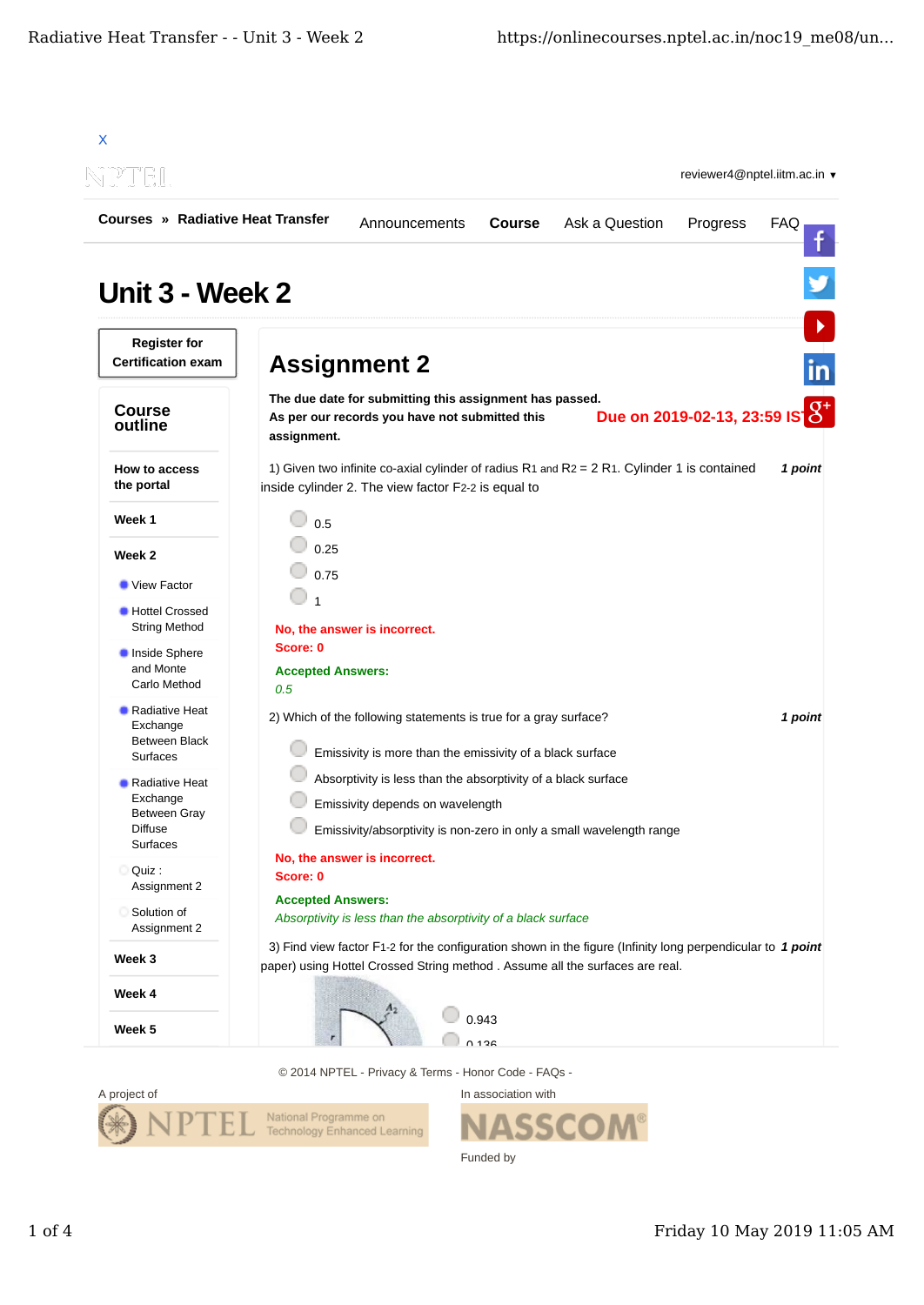

© 2014 NPTEL - Privacy & Terms - Honor Code - FAQs -



In association with ASSCO Funded by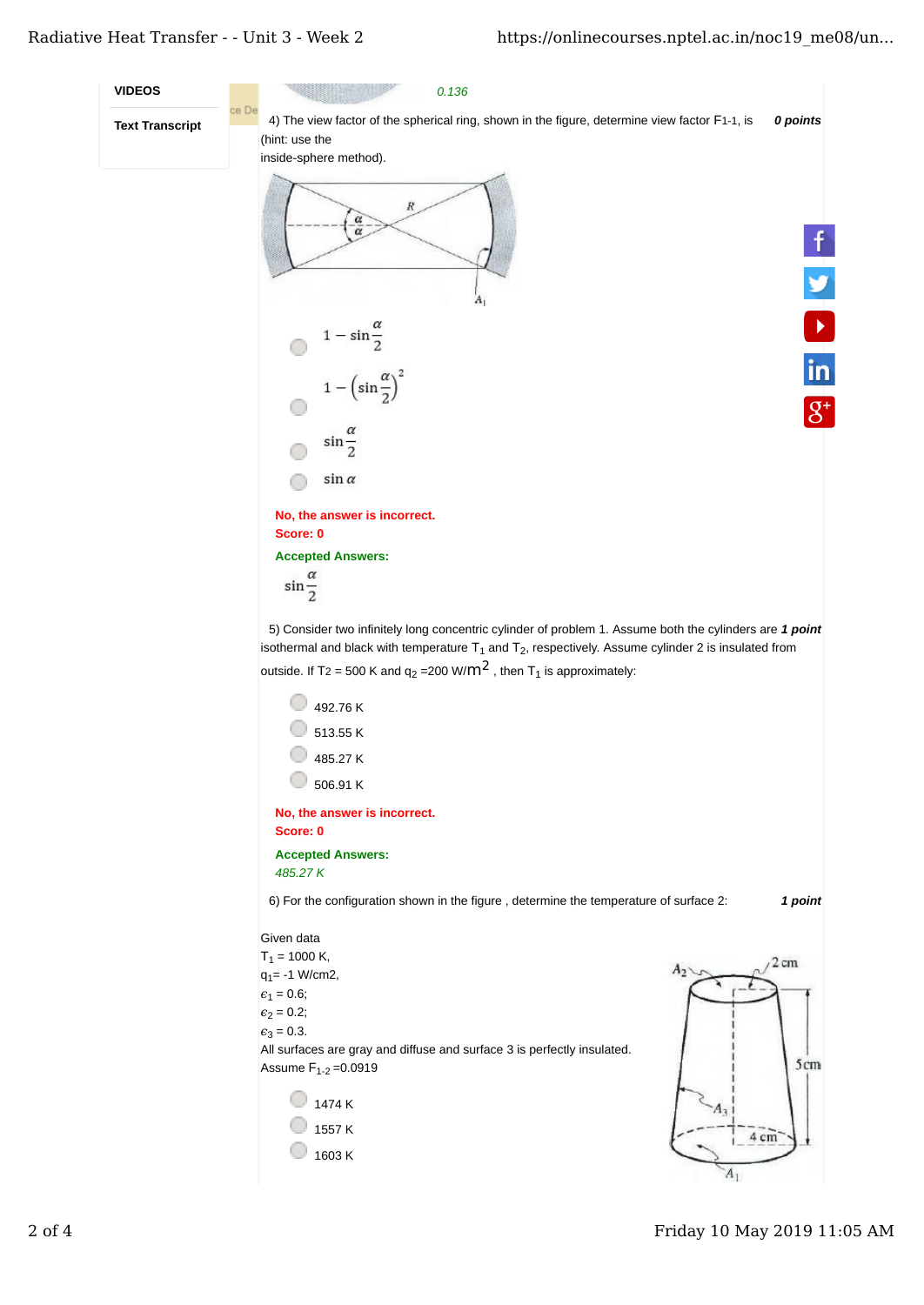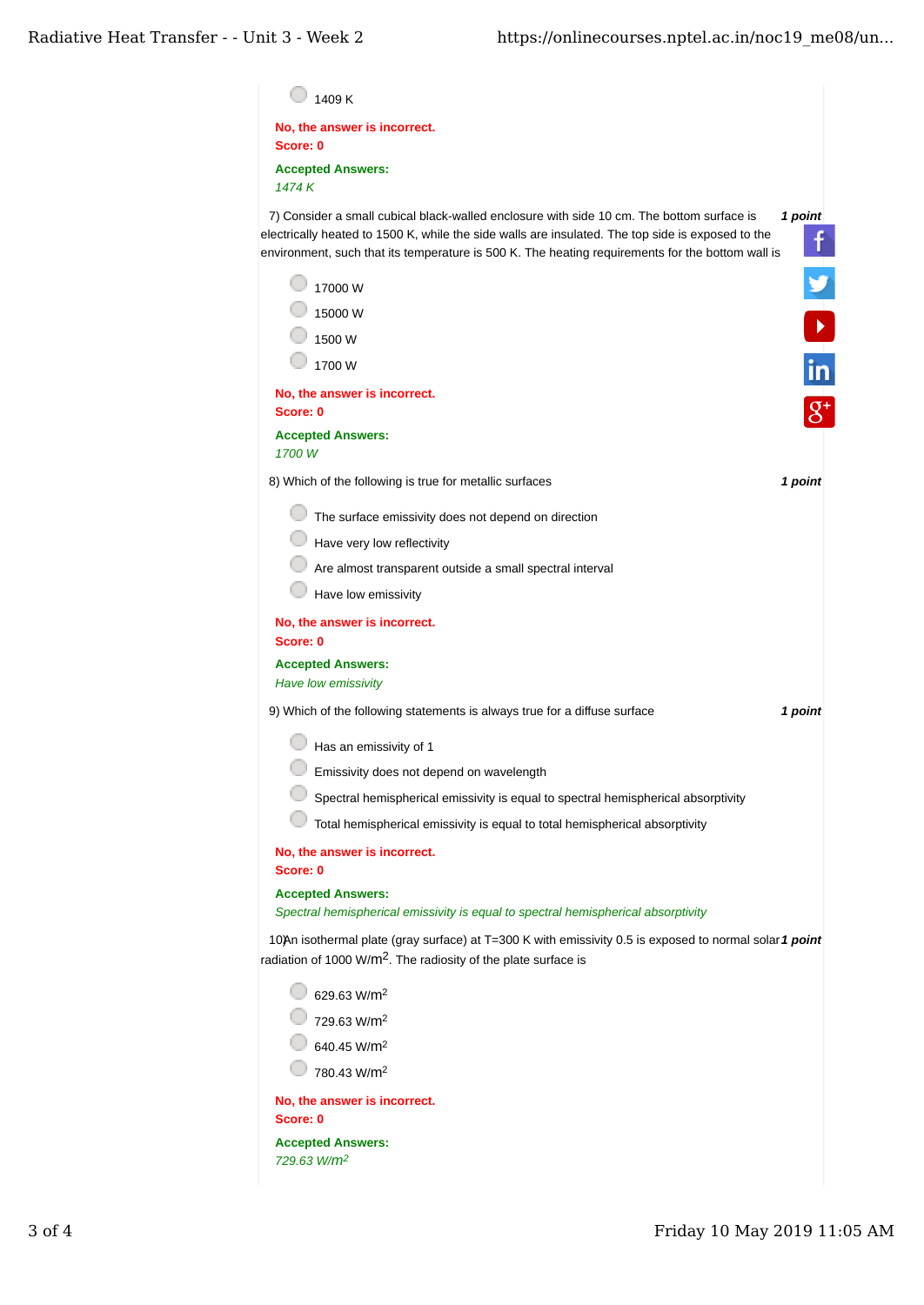| 1409 K                                                                     |                                                                                                                                                                                                                                                                                                                    |
|----------------------------------------------------------------------------|--------------------------------------------------------------------------------------------------------------------------------------------------------------------------------------------------------------------------------------------------------------------------------------------------------------------|
| No, the answer is incorrect.<br>Score: 0                                   |                                                                                                                                                                                                                                                                                                                    |
| <b>Accepted Answers:</b><br>1474 K                                         |                                                                                                                                                                                                                                                                                                                    |
|                                                                            | 7) Consider a small cubical black-walled enclosure with side 10 cm. The bottom surface is<br>1 point<br>electrically heated to 1500 K, while the side walls are insulated. The top side is exposed to the<br>f<br>environment, such that its temperature is 500 K. The heating requirements for the bottom wall is |
| 17000 W                                                                    |                                                                                                                                                                                                                                                                                                                    |
| 15000 W                                                                    |                                                                                                                                                                                                                                                                                                                    |
| 1500 W                                                                     |                                                                                                                                                                                                                                                                                                                    |
| 1700 W                                                                     | $\overline{\mathsf{in}}$                                                                                                                                                                                                                                                                                           |
| No, the answer is incorrect.                                               |                                                                                                                                                                                                                                                                                                                    |
| Score: 0                                                                   | $g^*$                                                                                                                                                                                                                                                                                                              |
| <b>Accepted Answers:</b><br>1700W                                          |                                                                                                                                                                                                                                                                                                                    |
| 8) Which of the following is true for metallic surfaces                    | 1 point                                                                                                                                                                                                                                                                                                            |
|                                                                            | The surface emissivity does not depend on direction                                                                                                                                                                                                                                                                |
| Have very low reflectivity                                                 |                                                                                                                                                                                                                                                                                                                    |
|                                                                            | Are almost transparent outside a small spectral interval                                                                                                                                                                                                                                                           |
| Have low emissivity                                                        |                                                                                                                                                                                                                                                                                                                    |
| No, the answer is incorrect.<br>Score: 0                                   |                                                                                                                                                                                                                                                                                                                    |
| <b>Accepted Answers:</b><br>Have low emissivity                            |                                                                                                                                                                                                                                                                                                                    |
|                                                                            | 9) Which of the following statements is always true for a diffuse surface<br>1 point                                                                                                                                                                                                                               |
| Has an emissivity of 1                                                     |                                                                                                                                                                                                                                                                                                                    |
| Emissivity does not depend on wavelength                                   |                                                                                                                                                                                                                                                                                                                    |
|                                                                            | Spectral hemispherical emissivity is equal to spectral hemispherical absorptivity                                                                                                                                                                                                                                  |
|                                                                            | Total hemispherical emissivity is equal to total hemispherical absorptivity                                                                                                                                                                                                                                        |
| No, the answer is incorrect.<br>Score: 0                                   |                                                                                                                                                                                                                                                                                                                    |
| <b>Accepted Answers:</b>                                                   |                                                                                                                                                                                                                                                                                                                    |
|                                                                            | Spectral hemispherical emissivity is equal to spectral hemispherical absorptivity                                                                                                                                                                                                                                  |
| radiation of 1000 W/m <sup>2</sup> . The radiosity of the plate surface is | 10)An isothermal plate (gray surface) at T=300 K with emissivity 0.5 is exposed to normal solar 1 point                                                                                                                                                                                                            |
| 629.63 W/m <sup>2</sup>                                                    |                                                                                                                                                                                                                                                                                                                    |
| 729.63 W/m <sup>2</sup>                                                    |                                                                                                                                                                                                                                                                                                                    |
| 640.45 W/m <sup>2</sup>                                                    |                                                                                                                                                                                                                                                                                                                    |
| 780.43 W/m <sup>2</sup>                                                    |                                                                                                                                                                                                                                                                                                                    |
| No, the answer is incorrect.                                               |                                                                                                                                                                                                                                                                                                                    |
| Score: 0<br><b>Accepted Answers:</b>                                       |                                                                                                                                                                                                                                                                                                                    |
| 729.63 W/m <sup>2</sup>                                                    |                                                                                                                                                                                                                                                                                                                    |